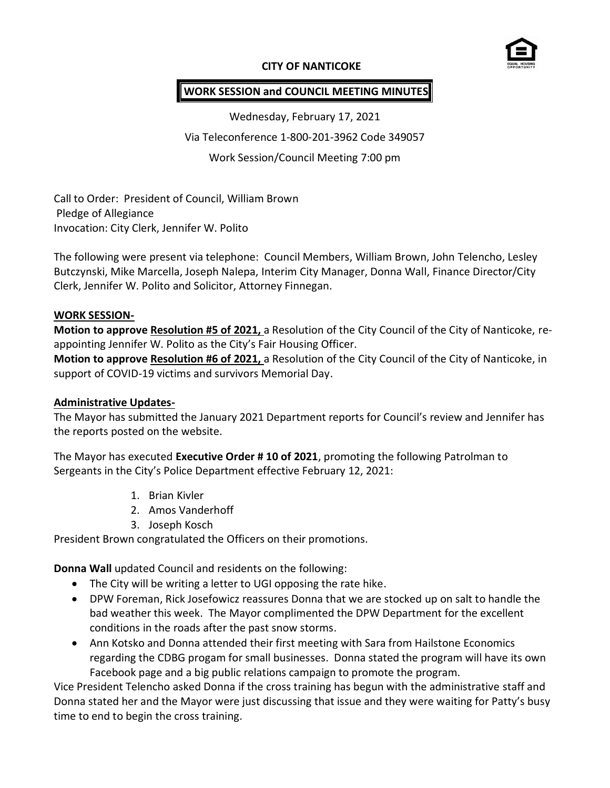## **CITY OF NANTICOKE**



### **WORK SESSION and COUNCIL MEETING MINUTES**

Wednesday, February 17, 2021 Via Teleconference 1-800-201-3962 Code 349057 Work Session/Council Meeting 7:00 pm

Call to Order: President of Council, William Brown Pledge of Allegiance Invocation: City Clerk, Jennifer W. Polito

The following were present via telephone: Council Members, William Brown, John Telencho, Lesley Butczynski, Mike Marcella, Joseph Nalepa, Interim City Manager, Donna Wall, Finance Director/City Clerk, Jennifer W. Polito and Solicitor, Attorney Finnegan.

#### **WORK SESSION-**

**Motion to approve Resolution #5 of 2021,** a Resolution of the City Council of the City of Nanticoke, reappointing Jennifer W. Polito as the City's Fair Housing Officer.

**Motion to approve Resolution #6 of 2021,** a Resolution of the City Council of the City of Nanticoke, in support of COVID-19 victims and survivors Memorial Day.

#### **Administrative Updates-**

The Mayor has submitted the January 2021 Department reports for Council's review and Jennifer has the reports posted on the website.

The Mayor has executed **Executive Order # 10 of 2021**, promoting the following Patrolman to Sergeants in the City's Police Department effective February 12, 2021:

- 1. Brian Kivler
- 2. Amos Vanderhoff
- 3. Joseph Kosch

President Brown congratulated the Officers on their promotions.

**Donna Wall** updated Council and residents on the following:

- The City will be writing a letter to UGI opposing the rate hike.
- DPW Foreman, Rick Josefowicz reassures Donna that we are stocked up on salt to handle the bad weather this week. The Mayor complimented the DPW Department for the excellent conditions in the roads after the past snow storms.
- Ann Kotsko and Donna attended their first meeting with Sara from Hailstone Economics regarding the CDBG progam for small businesses. Donna stated the program will have its own Facebook page and a big public relations campaign to promote the program.

Vice President Telencho asked Donna if the cross training has begun with the administrative staff and Donna stated her and the Mayor were just discussing that issue and they were waiting for Patty's busy time to end to begin the cross training.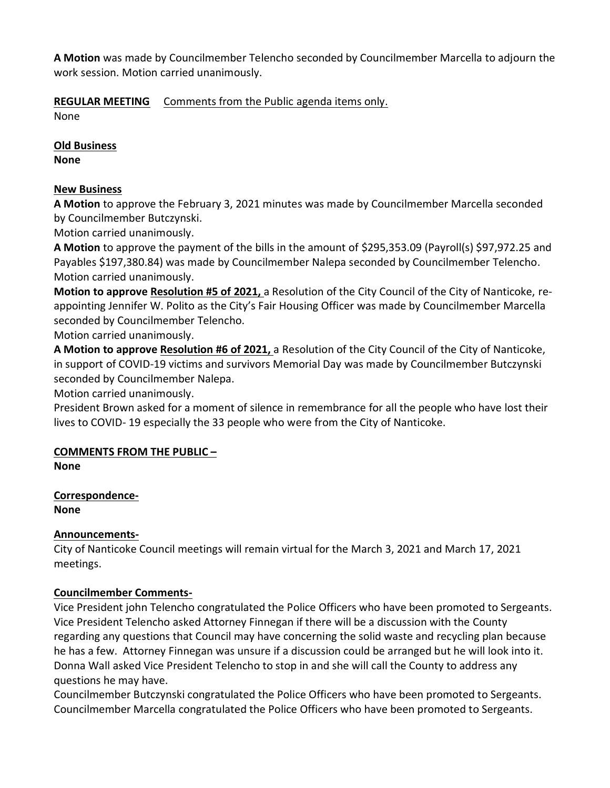**A Motion** was made by Councilmember Telencho seconded by Councilmember Marcella to adjourn the work session. Motion carried unanimously.

**REGULAR MEETING** Comments from the Public agenda items only.

None

**Old Business**

**None**

# **New Business**

**A Motion** to approve the February 3, 2021 minutes was made by Councilmember Marcella seconded by Councilmember Butczynski.

Motion carried unanimously.

**A Motion** to approve the payment of the bills in the amount of \$295,353.09 (Payroll(s) \$97,972.25 and Payables \$197,380.84) was made by Councilmember Nalepa seconded by Councilmember Telencho. Motion carried unanimously.

**Motion to approve Resolution #5 of 2021,** a Resolution of the City Council of the City of Nanticoke, reappointing Jennifer W. Polito as the City's Fair Housing Officer was made by Councilmember Marcella seconded by Councilmember Telencho.

Motion carried unanimously.

**A Motion to approve Resolution #6 of 2021,** a Resolution of the City Council of the City of Nanticoke, in support of COVID-19 victims and survivors Memorial Day was made by Councilmember Butczynski seconded by Councilmember Nalepa.

Motion carried unanimously.

President Brown asked for a moment of silence in remembrance for all the people who have lost their lives to COVID- 19 especially the 33 people who were from the City of Nanticoke.

# **COMMENTS FROM THE PUBLIC –**

**None**

**Correspondence-None**

# **Announcements-**

City of Nanticoke Council meetings will remain virtual for the March 3, 2021 and March 17, 2021 meetings.

# **Councilmember Comments-**

Vice President john Telencho congratulated the Police Officers who have been promoted to Sergeants. Vice President Telencho asked Attorney Finnegan if there will be a discussion with the County regarding any questions that Council may have concerning the solid waste and recycling plan because he has a few. Attorney Finnegan was unsure if a discussion could be arranged but he will look into it. Donna Wall asked Vice President Telencho to stop in and she will call the County to address any questions he may have.

Councilmember Butczynski congratulated the Police Officers who have been promoted to Sergeants. Councilmember Marcella congratulated the Police Officers who have been promoted to Sergeants.